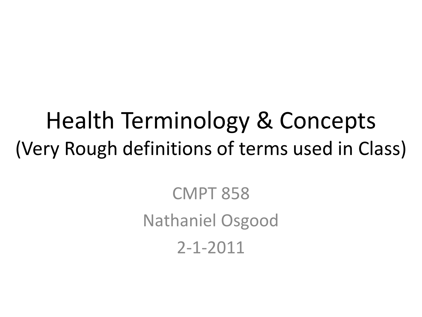### Health Terminology & Concepts (Very Rough definitions of terms used in Class)

CMPT 858 Nathaniel Osgood 2-1-2011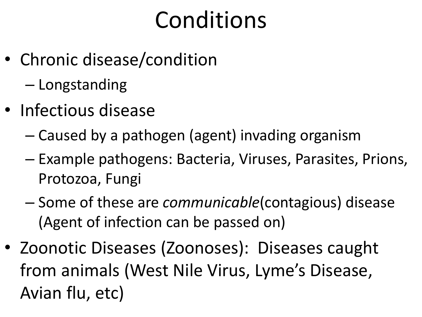# Conditions

- Chronic disease/condition
	- Longstanding
- Infectious disease
	- Caused by a pathogen (agent) invading organism
	- Example pathogens: Bacteria, Viruses, Parasites, Prions, Protozoa, Fungi
	- Some of these are *communicable*(contagious) disease (Agent of infection can be passed on)
- Zoonotic Diseases (Zoonoses): Diseases caught from animals (West Nile Virus, Lyme's Disease, Avian flu, etc)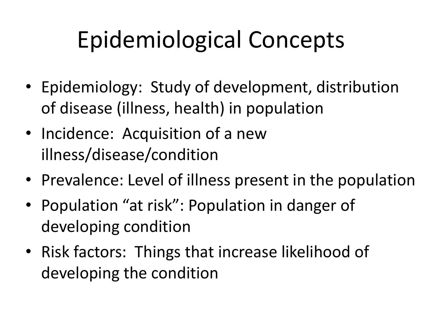# Epidemiological Concepts

- Epidemiology: Study of development, distribution of disease (illness, health) in population
- Incidence: Acquisition of a new illness/disease/condition
- Prevalence: Level of illness present in the population
- Population "at risk": Population in danger of developing condition
- Risk factors: Things that increase likelihood of developing the condition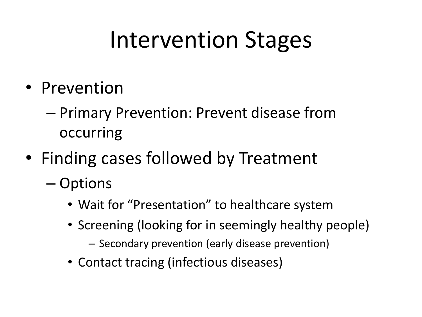## Intervention Stages

- Prevention
	- Primary Prevention: Prevent disease from occurring
- Finding cases followed by Treatment
	- Options
		- Wait for "Presentation" to healthcare system
		- Screening (looking for in seemingly healthy people)
			- Secondary prevention (early disease prevention)
		- Contact tracing (infectious diseases)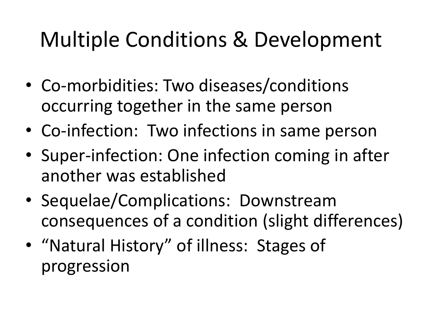### Multiple Conditions & Development

- Co-morbidities: Two diseases/conditions occurring together in the same person
- Co-infection: Two infections in same person
- Super-infection: One infection coming in after another was established
- Sequelae/Complications: Downstream consequences of a condition (slight differences)
- "Natural History" of illness: Stages of progression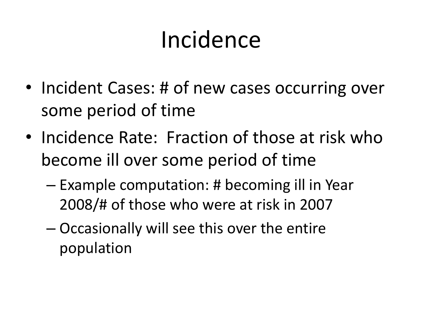# Incidence

- Incident Cases: # of new cases occurring over some period of time
- Incidence Rate: Fraction of those at risk who become ill over some period of time
	- Example computation: # becoming ill in Year 2008/# of those who were at risk in 2007
	- Occasionally will see this over the entire population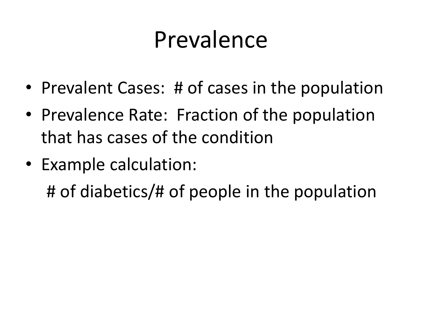### Prevalence

- Prevalent Cases: # of cases in the population
- Prevalence Rate: Fraction of the population that has cases of the condition
- Example calculation: # of diabetics/# of people in the population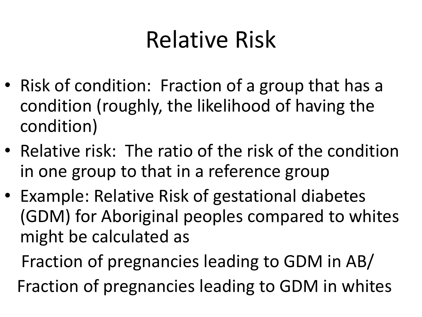# Relative Risk

- Risk of condition: Fraction of a group that has a condition (roughly, the likelihood of having the condition)
- Relative risk: The ratio of the risk of the condition in one group to that in a reference group
- Example: Relative Risk of gestational diabetes (GDM) for Aboriginal peoples compared to whites might be calculated as

 Fraction of pregnancies leading to GDM in AB/ Fraction of pregnancies leading to GDM in whites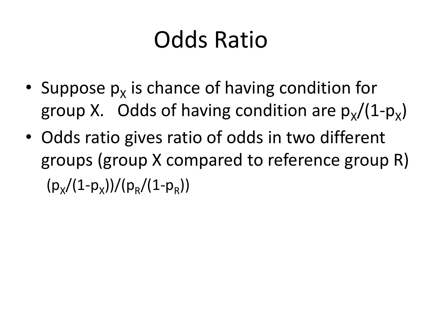# Odds Ratio

- Suppose  $p_x$  is chance of having condition for group X. Odds of having condition are  $p_X/(1-p_X)$
- Odds ratio gives ratio of odds in two different groups (group X compared to reference group R)  $(p_x/(1-p_x))/(p_R/(1-p_R))$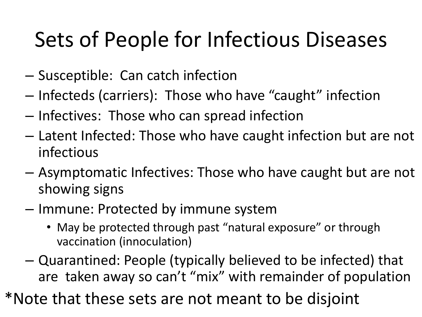### Sets of People for Infectious Diseases

- Susceptible: Can catch infection
- Infecteds (carriers): Those who have "caught" infection
- Infectives: Those who can spread infection
- Latent Infected: Those who have caught infection but are not infectious
- Asymptomatic Infectives: Those who have caught but are not showing signs
- Immune: Protected by immune system
	- May be protected through past "natural exposure" or through vaccination (innoculation)
- Quarantined: People (typically believed to be infected) that are taken away so can't "mix" with remainder of population
- \*Note that these sets are not meant to be disjoint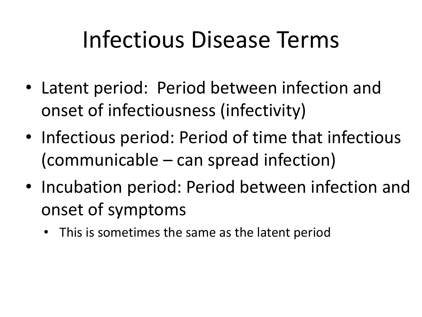# Infectious Disease Terms

- Latent period: Period between infection and onset of infectiousness (infectivity)
- Infectious period: Period of time that infectious (communicable – can spread infection)
- Incubation period: Period between infection and onset of symptoms
	- This is sometimes the same as the latent period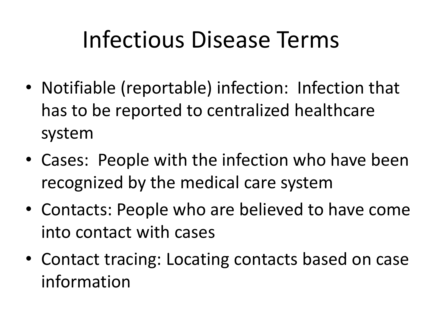# Infectious Disease Terms

- Notifiable (reportable) infection: Infection that has to be reported to centralized healthcare system
- Cases: People with the infection who have been recognized by the medical care system
- Contacts: People who are believed to have come into contact with cases
- Contact tracing: Locating contacts based on case information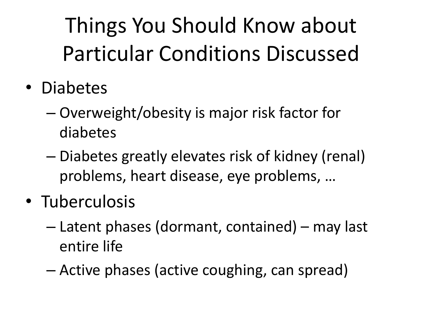Things You Should Know about Particular Conditions Discussed

- Diabetes
	- Overweight/obesity is major risk factor for diabetes
	- Diabetes greatly elevates risk of kidney (renal) problems, heart disease, eye problems, …
- Tuberculosis
	- Latent phases (dormant, contained) may last entire life
	- Active phases (active coughing, can spread)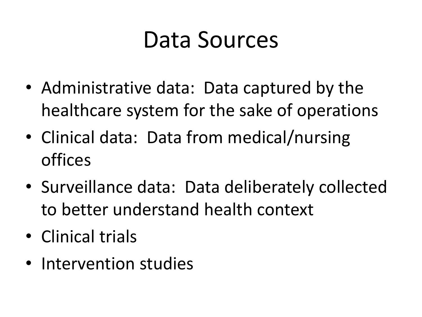### Data Sources

- Administrative data: Data captured by the healthcare system for the sake of operations
- Clinical data: Data from medical/nursing offices
- Surveillance data: Data deliberately collected to better understand health context
- Clinical trials
- Intervention studies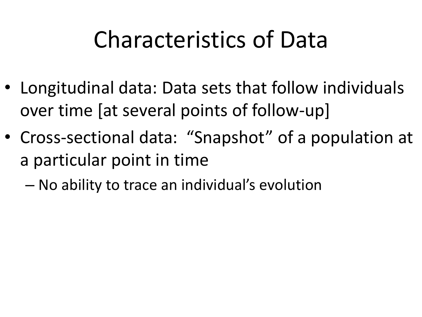# Characteristics of Data

- Longitudinal data: Data sets that follow individuals over time [at several points of follow-up]
- Cross-sectional data: "Snapshot" of a population at a particular point in time

– No ability to trace an individual's evolution